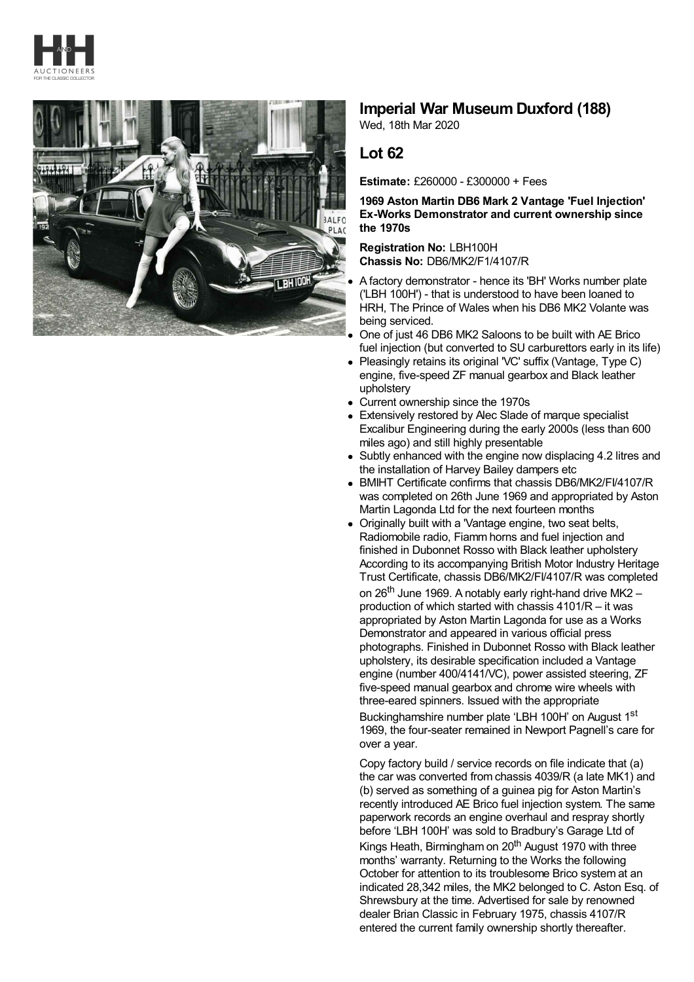



## **Imperial War Museum Duxford (188)**

Wed, 18th Mar 2020

## **Lot 62**

**Estimate:** £260000 - £300000 + Fees

## **1969 Aston Martin DB6 Mark 2 Vantage 'Fuel Injection' Ex-Works Demonstrator and current ownership since the 1970s**

**Registration No:** LBH100H **Chassis No:** DB6/MK2/F1/4107/R

- A factory demonstrator hence its 'BH' Works number plate ('LBH 100H') - that is understood to have been loaned to HRH, The Prince of Wales when his DB6 MK2 Volante was being serviced.
- One of just 46 DB6 MK2 Saloons to be built with AE Brico fuel injection (but converted to SU carburettors early in its life)
- Pleasingly retains its original 'VC' suffix (Vantage, Type C)  $\bullet$ engine, five-speed ZF manual gearbox and Black leather upholstery
- Current ownership since the 1970s
- Extensively restored by Alec Slade of marque specialist Excalibur Engineering during the early 2000s (less than 600 miles ago) and still highly presentable
- Subtly enhanced with the engine now displacing 4.2 litres and the installation of Harvey Bailey dampers etc
- BMIHT Certificate confirms that chassis DB6/MK2/FI/4107/R was completed on 26th June 1969 and appropriated by Aston Martin Lagonda Ltd for the next fourteen months
- Originally built with a 'Vantage engine, two seat belts, Radiomobile radio, Fiamm horns and fuel injection and finished in Dubonnet Rosso with Black leather upholstery According to its accompanying British Motor Industry Heritage Trust Certificate, chassis DB6/MK2/FI/4107/R was completed on 26<sup>th</sup> June 1969. A notably early right-hand drive MK2 – production of which started with chassis 4101/R – it was appropriated by Aston Martin Lagonda for use as a Works Demonstrator and appeared in various official press photographs. Finished in Dubonnet Rosso with Black leather upholstery, its desirable specification included a Vantage engine (number 400/4141/VC), power assisted steering, ZF five-speed manual gearbox and chrome wire wheels with three-eared spinners. Issued with the appropriate Buckinghamshire number plate 'LBH 100H' on August 1<sup>st</sup> 1969, the four-seater remained in Newport Pagnell's care for over a year.

Copy factory build / service records on file indicate that (a) the car was converted from chassis 4039/R (a late MK1) and (b) served as something of a guinea pig for Aston Martin's recently introduced AE Brico fuel injection system. The same paperwork records an engine overhaul and respray shortly before 'LBH 100H' was sold to Bradbury's Garage Ltd of Kings Heath, Birmingham on 20<sup>th</sup> August 1970 with three months' warranty. Returning to the Works the following October for attention to its troublesome Brico system at an indicated 28,342 miles, the MK2 belonged to C. Aston Esq. of Shrewsbury at the time. Advertised for sale by renowned dealer Brian Classic in February 1975, chassis 4107/R entered the current family ownership shortly thereafter.